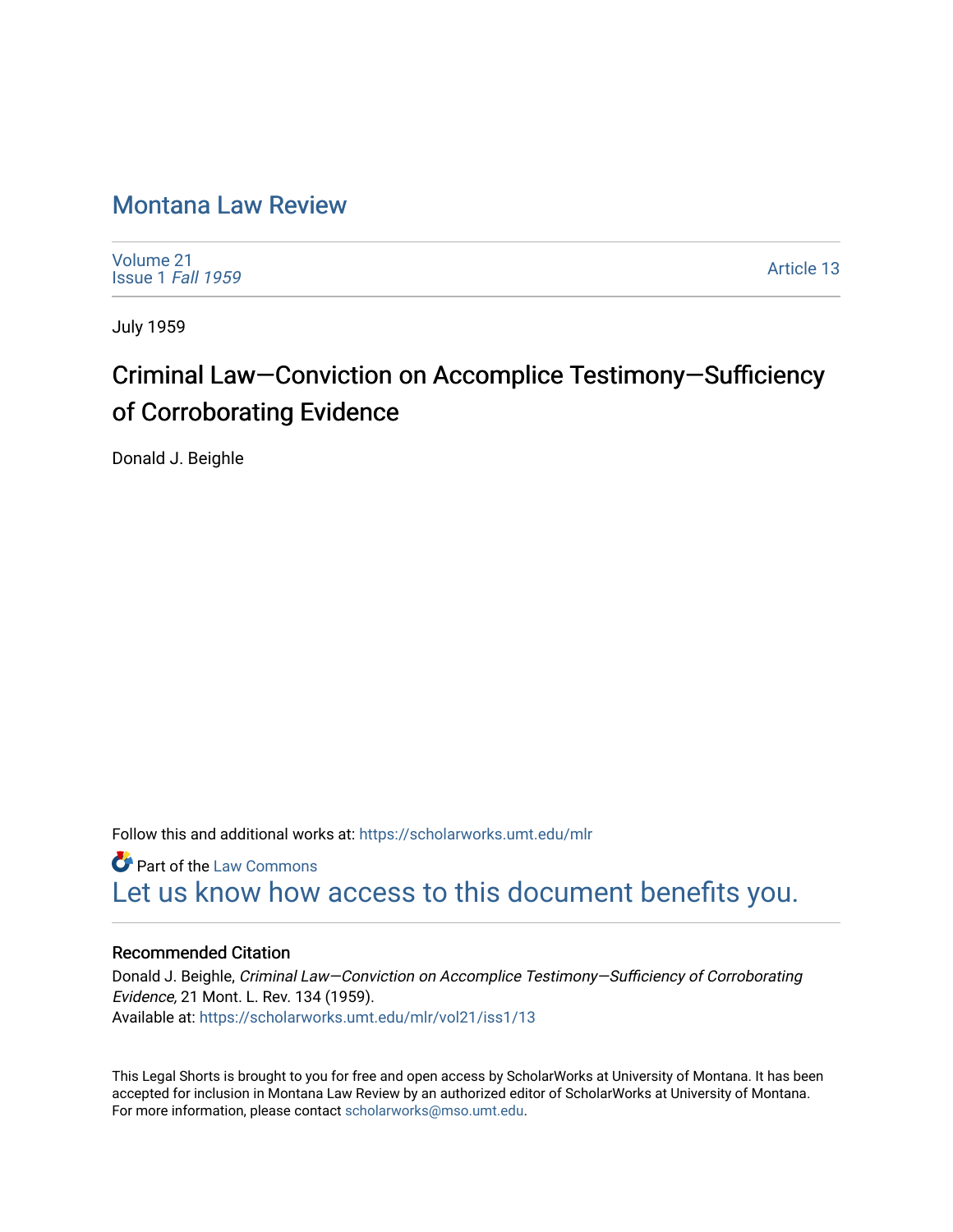## [Montana Law Review](https://scholarworks.umt.edu/mlr)

[Volume 21](https://scholarworks.umt.edu/mlr/vol21) [Issue 1](https://scholarworks.umt.edu/mlr/vol21/iss1) Fall 1959

[Article 13](https://scholarworks.umt.edu/mlr/vol21/iss1/13) 

July 1959

## Criminal Law—Conviction on Accomplice Testimony—Sufficiency of Corroborating Evidence

Donald J. Beighle

Follow this and additional works at: [https://scholarworks.umt.edu/mlr](https://scholarworks.umt.edu/mlr?utm_source=scholarworks.umt.edu%2Fmlr%2Fvol21%2Fiss1%2F13&utm_medium=PDF&utm_campaign=PDFCoverPages) 

**Part of the [Law Commons](http://network.bepress.com/hgg/discipline/578?utm_source=scholarworks.umt.edu%2Fmlr%2Fvol21%2Fiss1%2F13&utm_medium=PDF&utm_campaign=PDFCoverPages)** [Let us know how access to this document benefits you.](https://goo.gl/forms/s2rGfXOLzz71qgsB2) 

## Recommended Citation

Donald J. Beighle, Criminal Law—Conviction on Accomplice Testimony—Sufficiency of Corroborating Evidence, 21 Mont. L. Rev. 134 (1959). Available at: [https://scholarworks.umt.edu/mlr/vol21/iss1/13](https://scholarworks.umt.edu/mlr/vol21/iss1/13?utm_source=scholarworks.umt.edu%2Fmlr%2Fvol21%2Fiss1%2F13&utm_medium=PDF&utm_campaign=PDFCoverPages)

This Legal Shorts is brought to you for free and open access by ScholarWorks at University of Montana. It has been accepted for inclusion in Montana Law Review by an authorized editor of ScholarWorks at University of Montana. For more information, please contact [scholarworks@mso.umt.edu.](mailto:scholarworks@mso.umt.edu)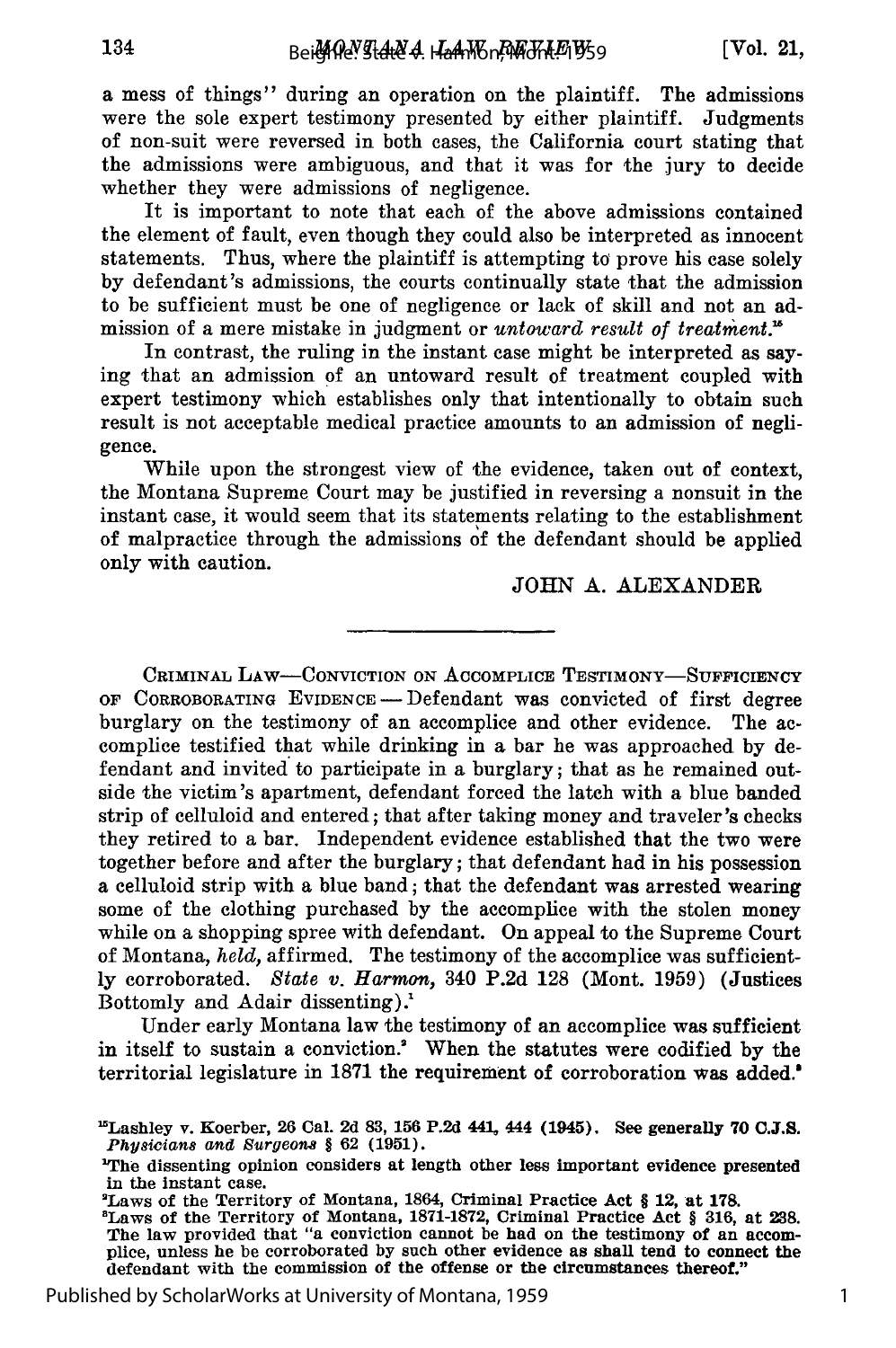134

a mess of things" during an operation on the plaintiff. The admissions were the sole expert testimony presented by either plaintiff. Judgments of non-suit were reversed in both cases, the California court stating that the admissions were ambiguous, and that it was for the jury to decide whether they were admissions of negligence.

It is important to note that each of the above admissions contained the element of fault, even though they could also be interpreted as innocent statements. Thus, where the plaintiff is attempting to prove his case solely by defendant's admissions, the courts continually state that the admission to be sufficient must be one of negligence or lack of skill and not an admission of a mere mistake in judgment or *untoward result of treatment.*<sup>16</sup>

In contrast, the ruling in the instant case might be interpreted as saying that an admission of an untoward result of treatment coupled with expert testimony which establishes only that intentionally to obtain such result is not acceptable medical practice amounts to an admission of negligence.

While upon the strongest view of the evidence, taken out of context, the Montana Supreme Court may be justified in reversing a nonsuit in the instant case, it would seem that its statements relating to the establishment of malpractice through the admissions of the defendant should be applied only with caution.

JOHN A. ALEXANDER

CRIMINAL LAW-CONVICTION ON ACCOMPLICE TESTIMONY-SUFFICIENCY OF CORROBORATING EVIDENCE - Defendant was convicted of first degree burglary on the testimony of an accomplice and other evidence. The accomplice testified that while drinking in a bar he was approached **by** defendant and invited to participate in a burglary; that as he remained outside the victim's apartment, defendant forced the latch with a blue banded strip of celluloid and entered; that after taking money and traveler's checks they retired to a bar. Independent evidence established that the two were together before and after the burglary; that defendant had in his possession a celluloid strip with a blue band; that the defendant was arrested wearing some of the clothing purchased **by** the accomplice with the stolen money while on a shopping spree with defendant. On appeal to the Supreme Court of Montana, *held,* affirmed. The testimony of the accomplice was sufficient**ly** corroborated. *State v. Harmon,* 340 P.2d 128 (Mont. 1959) (Justices Bottomly and Adair dissenting).'

Under early Montana law the testimony of an accomplice was sufficient in itself to sustain a conviction.<sup>2</sup> When the statutes were codified by the territorial legislature in 1871 the requirement of corroboration was added.

<sup>&#</sup>x27;Lashley v. Koerber, **26** Cal. **2d 83, 156 P.2d 441,** 444 (1945). See generally **70 C.J.S.** *Physicians and Surgeons §* **62 (1951).**

**<sup>&#</sup>x27;The** dissenting opinion considers at length other less important evidence presented

<sup>&</sup>lt;sup>2</sup>Laws of the Territory of Montana, 1864, Criminal Practice Act § 12, at 178.

<sup>&#</sup>x27;Laws of the Territory of Montana, 1871-1872, Criminal Practice Act § 316, at 238. The law provided that "a conviction cannot be had on the testimony of an accom-<br>plice, unless he be corroborated by such other evidence as shall tend to connect the defendant with the commission of the offense or the circumstances thereof."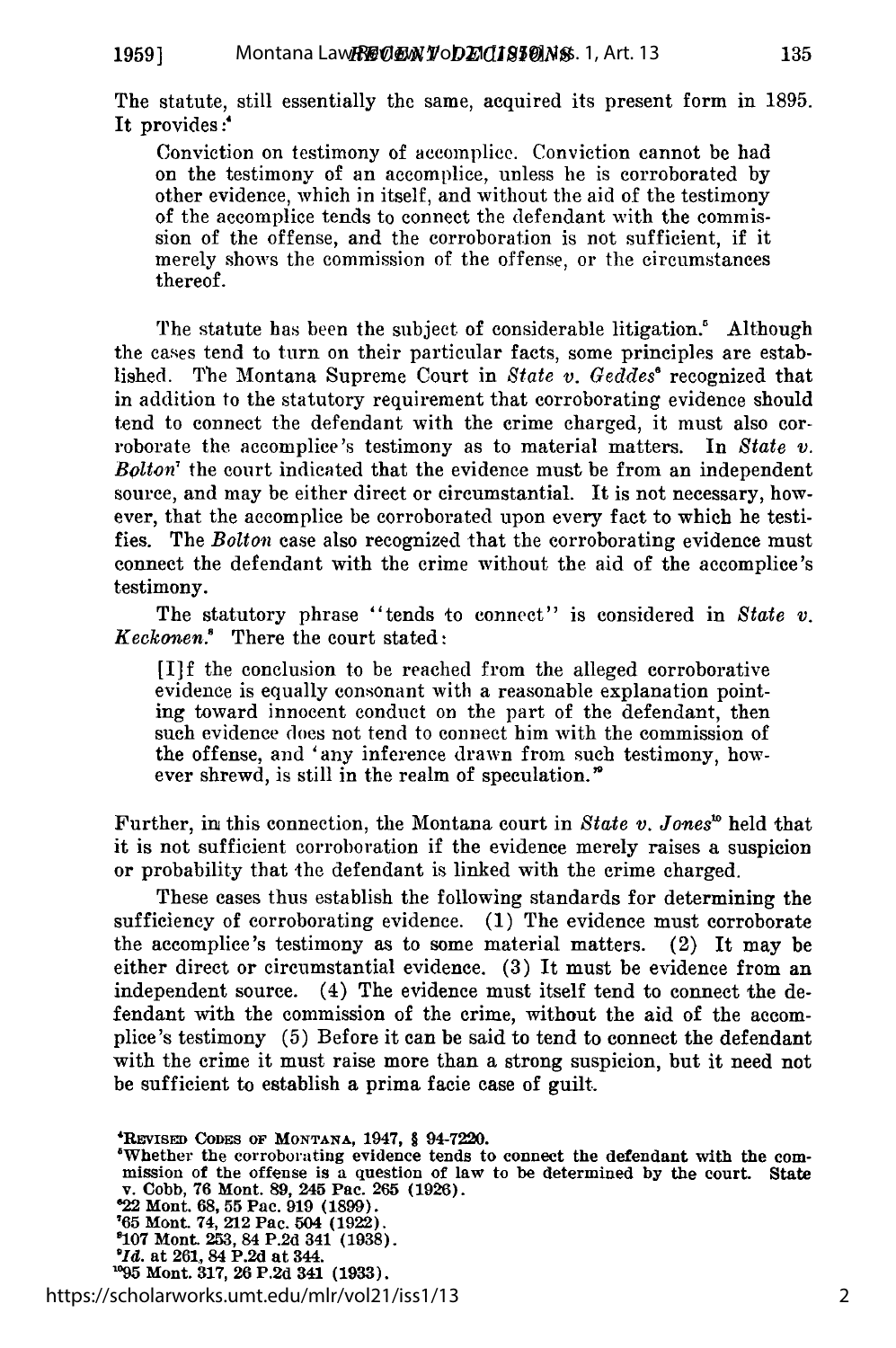The statute, still essentially the same, acquired its present form in 1895. It provides:<sup>4</sup>

Conviction on testimony of accomplice. Conviction cannot be had on the testimony of an accomplice, unless he is corroborated by other evidence, which in itself, and without the aid of the testimony of the accomplice tends to connect the defendant with the commission of the offense, and the corroboration is not sufficient, if it merely shows the commission of the offense, or the circumstances thereof.

The statute has been the subject of considerable litigation.' Although the cases tend to turn on their particular facts, some principles are established. The Montana Supreme Court in *State v. Geddes'* recognized that in addition to the statutory requirement that corroborating evidence should tend to connect the defendant with the crime charged, it must also corroborate the accomplice's testimony as to material matters. In *State v. Bolton'* the court indicated that the evidence must be from an independent source, and may be either direct or circumstantial. It is not necessary, however, that the accomplice be corroborated upon every fact to which he testifies. The *Bolton* case also recognized that the corroborating evidence must connect the defendant with the crime without the aid of the accomplice's testimony.

The statutory phrase "tends to connect" is considered in *State v. Keckonen.'* There the court stated:

[I]f the conclusion to be reached from the alleged corroborative evidence is equally consonant with a reasonable explanation pointing toward innocent conduct on the part of the defendant, then such evidence does not tend to connect him with the commission of the offense, and 'any inference drawn from such testimony, however shrewd, is still in the realm of speculation.'

Further, in this connection, the Montana court in *State v. Jones*<sup>16</sup> held that it is not sufficient corroboration if the evidence merely raises a suspicion or probability that the defendant is linked with the crime charged.

These cases thus establish the following standards for determining the sufficiency of corroborating evidence. (1) The evidence must corroborate the accomplice's testimony as to some material matters. (2) It may be either direct or circumstantial evidence. (3) It must be evidence from an independent source. (4) The evidence must itself tend to connect the defendant with the commission of the crime, without the aid of the accomplice's testimony (5) Before it can be said to tend to connect the defendant with the crime it must raise more than a strong suspicion, but it need not be sufficient to establish a prima facie case of guilt.

https://scholarworks.umt.edu/mlr/vol21/iss1/13

**<sup>&#</sup>x27;REVISED CODES OF MONTANA, 1947,** § **94-7220.**

<sup>&</sup>quot;Whether the corroborating evidence tends to connect the defendant with the commission of the offense is a question of law to be determined by the court. State v. Cobb, 76 Mont. 89, 245 Pac. 265 (1926). **'22 Mont. 68, 55 Pac. 919 (1899).**

**<sup>&#</sup>x27;65 Mont.** 74, **212** Pac. **504 (1922).**

**<sup>&#</sup>x27;107** Mont. **253,** 84 **P.2d** 341 **(1938).** *'Id.* at **261,** 84 **P.2d** at 344. **<sup>195</sup>**Mont. **317, 26 P.2d 341 (1933).**